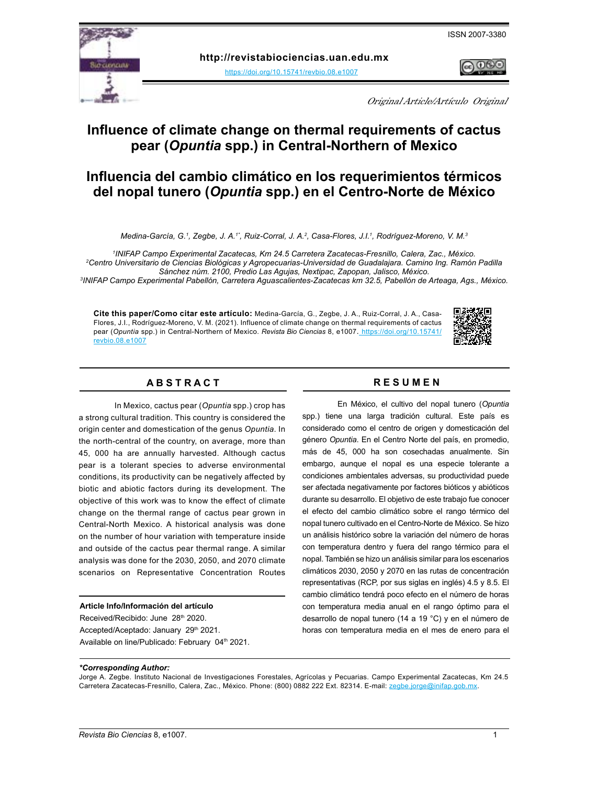



**http://revistabiociencias.uan.edu.mx** 

<https://doi.org/10.15741/revbio.08.e1007>

Original Article/Artículo Original

# **Influence of climate change on thermal requirements of cactus pear (***Opuntia* **spp.) in Central-Northern of Mexico**

# **Influencia del cambio climático en los requerimientos térmicos del nopal tunero (***Opuntia* **spp.) en el Centro-Norte de México**

*Medina-García, G.1 , Zegbe, J. A.1\*, Ruiz-Corral, J. A.2 , Casa-Flores, J.I.1 , Rodríguez-Moreno, V. M.3*

*1 INIFAP Campo Experimental Zacatecas, Km 24.5 Carretera Zacatecas-Fresnillo, Calera, Zac., México.*

*2 Centro Universitario de Ciencias Biológicas y Agropecuarias-Universidad de Guadalajara. Camino Ing. Ramón Padilla Sánchez núm. 2100, Predio Las Agujas, Nextipac, Zapopan, Jalisco, México.*

*3 INIFAP Campo Experimental Pabellón, Carretera Aguascalientes-Zacatecas km 32.5, Pabellón de Arteaga, Ags., México.*

**Cite this paper/Como citar este artículo:** Medina-García, G., Zegbe, J. A., Ruiz-Corral, J. A., Casa-Flores, J.I., Rodríguez-Moreno, V. M. (2021). Influence of climate change on thermal requirements of cactus pear (*Opuntia* spp.) in Central-Northern of Mexico. *[Revista Bio Ciencias](doi: https://doi.org/10.15741/revbio.08.e982
)* 8, e1007. https://doi.org/10.15741/ revbio.08.e1007



# **A B S T R A C T R E S U M E N**

In Mexico, cactus pear (*Opuntia* spp.) crop has a strong cultural tradition. This country is considered the origin center and domestication of the genus *Opuntia*. In the north-central of the country, on average, more than 45, 000 ha are annually harvested. Although cactus pear is a tolerant species to adverse environmental conditions, its productivity can be negatively affected by biotic and abiotic factors during its development. The objective of this work was to know the effect of climate change on the thermal range of cactus pear grown in Central-North Mexico. A historical analysis was done on the number of hour variation with temperature inside and outside of the cactus pear thermal range. A similar analysis was done for the 2030, 2050, and 2070 climate scenarios on Representative Concentration Routes

# **Article Info/Información del artículo**

Received/Recibido: June 28th 2020. Accepted/Aceptado: January 29th 2021. Available on line/Publicado: February 04th 2021.

En México, el cultivo del nopal tunero (*Opuntia*  spp.) tiene una larga tradición cultural. Este país es considerado como el centro de origen y domesticación del género *Opuntia*. En el Centro Norte del país, en promedio, más de 45, 000 ha son cosechadas anualmente. Sin embargo, aunque el nopal es una especie tolerante a condiciones ambientales adversas, su productividad puede ser afectada negativamente por factores bióticos y abióticos durante su desarrollo. El objetivo de este trabajo fue conocer el efecto del cambio climático sobre el rango térmico del nopal tunero cultivado en el Centro-Norte de México. Se hizo un análisis histórico sobre la variación del número de horas con temperatura dentro y fuera del rango térmico para el nopal. También se hizo un análisis similar para los escenarios climáticos 2030, 2050 y 2070 en las rutas de concentración representativas (RCP, por sus siglas en inglés) 4.5 y 8.5. El cambio climático tendrá poco efecto en el número de horas con temperatura media anual en el rango óptimo para el desarrollo de nopal tunero (14 a 19 °C) y en el número de horas con temperatura media en el mes de enero para el

# *\*Corresponding Author:*

Jorge A. Zegbe. Instituto Nacional de Investigaciones Forestales, Agrícolas y Pecuarias. Campo Experimental Zacatecas, Km 24.5 Carretera Zacatecas-Fresnillo, Calera, Zac., México. Phone: (800) 0882 222 Ext. 82314. E-mail: [zegbe.jorge@inifap.gob.mx.](mailto:zegbe.jorge%40inifap.gob.mx?subject=)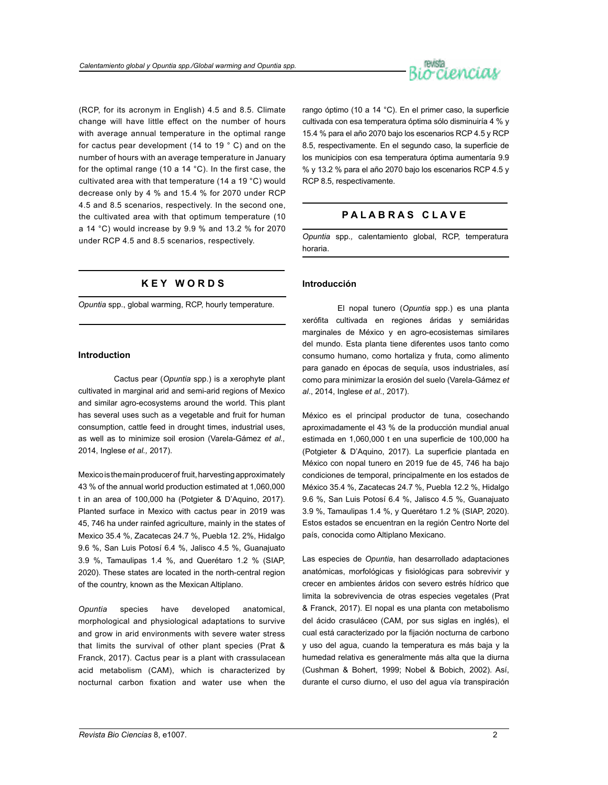

(RCP, for its acronym in English) 4.5 and 8.5. Climate change will have little effect on the number of hours with average annual temperature in the optimal range for cactus pear development (14 to 19 ° C) and on the number of hours with an average temperature in January for the optimal range (10 a 14 °C). In the first case, the cultivated area with that temperature (14 a 19 °C) would decrease only by 4 % and 15.4 % for 2070 under RCP 4.5 and 8.5 scenarios, respectively. In the second one, the cultivated area with that optimum temperature (10 a 14 °C) would increase by 9.9 % and 13.2 % for 2070 under RCP 4.5 and 8.5 scenarios, respectively.

# **K E Y W O R D S**

*Opuntia* spp., global warming, RCP, hourly temperature.

## **Introduction**

Cactus pear (*Opuntia* spp.) is a xerophyte plant cultivated in marginal arid and semi-arid regions of Mexico and similar agro-ecosystems around the world. This plant has several uses such as a vegetable and fruit for human consumption, cattle feed in drought times, industrial uses, as well as to minimize soil erosion (Varela-Gámez *et al.,* 2014, Inglese *et al.,* 2017).

Mexico is the main producer of fruit, harvesting approximately 43 % of the annual world production estimated at 1,060,000 t in an area of 100,000 ha (Potgieter & D'Aquino, 2017). Planted surface in Mexico with cactus pear in 2019 was 45, 746 ha under rainfed agriculture, mainly in the states of Mexico 35.4 %, Zacatecas 24.7 %, Puebla 12. 2%, Hidalgo 9.6 %, San Luis Potosí 6.4 %, Jalisco 4.5 %, Guanajuato 3.9 %, Tamaulipas 1.4 %, and Querétaro 1.2 % (SIAP, 2020). These states are located in the north-central region of the country, known as the Mexican Altiplano.

*Opuntia* species have developed anatomical, morphological and physiological adaptations to survive and grow in arid environments with severe water stress that limits the survival of other plant species (Prat & Franck, 2017). Cactus pear is a plant with crassulacean acid metabolism (CAM), which is characterized by nocturnal carbon fixation and water use when the rango óptimo (10 a 14 °C). En el primer caso, la superficie cultivada con esa temperatura óptima sólo disminuiría 4 % y 15.4 % para el año 2070 bajo los escenarios RCP 4.5 y RCP 8.5, respectivamente. En el segundo caso, la superficie de los municipios con esa temperatura óptima aumentaría 9.9 % y 13.2 % para el año 2070 bajo los escenarios RCP 4.5 y RCP 8.5, respectivamente.

# **P A L A B R A S C L A V E**

*Opuntia* spp*.,* calentamiento global, RCP, temperatura horaria.

# **Introducción**

El nopal tunero (*Opuntia* spp.) es una planta xerófita cultivada en regiones áridas y semiáridas marginales de México y en agro-ecosistemas similares del mundo. Esta planta tiene diferentes usos tanto como consumo humano, como hortaliza y fruta, como alimento para ganado en épocas de sequía, usos industriales, así como para minimizar la erosión del suelo (Varela-Gámez *et al*., 2014, Inglese *et al*., 2017).

México es el principal productor de tuna, cosechando aproximadamente el 43 % de la producción mundial anual estimada en 1,060,000 t en una superficie de 100,000 ha (Potgieter & D'Aquino, 2017). La superficie plantada en México con nopal tunero en 2019 fue de 45, 746 ha bajo condiciones de temporal, principalmente en los estados de México 35.4 %, Zacatecas 24.7 %, Puebla 12.2 %, Hidalgo 9.6 %, San Luis Potosí 6.4 %, Jalisco 4.5 %, Guanajuato 3.9 %, Tamaulipas 1.4 %, y Querétaro 1.2 % (SIAP, 2020). Estos estados se encuentran en la región Centro Norte del país, conocida como Altiplano Mexicano.

Las especies de *Opuntia*, han desarrollado adaptaciones anatómicas, morfológicas y fisiológicas para sobrevivir y crecer en ambientes áridos con severo estrés hídrico que limita la sobrevivencia de otras especies vegetales (Prat & Franck, 2017). El nopal es una planta con metabolismo del ácido crasuláceo (CAM, por sus siglas en inglés), el cual está caracterizado por la fijación nocturna de carbono y uso del agua, cuando la temperatura es más baja y la humedad relativa es generalmente más alta que la diurna (Cushman & Bohert, 1999; Nobel & Bobich, 2002). Así, durante el curso diurno, el uso del agua vía transpiración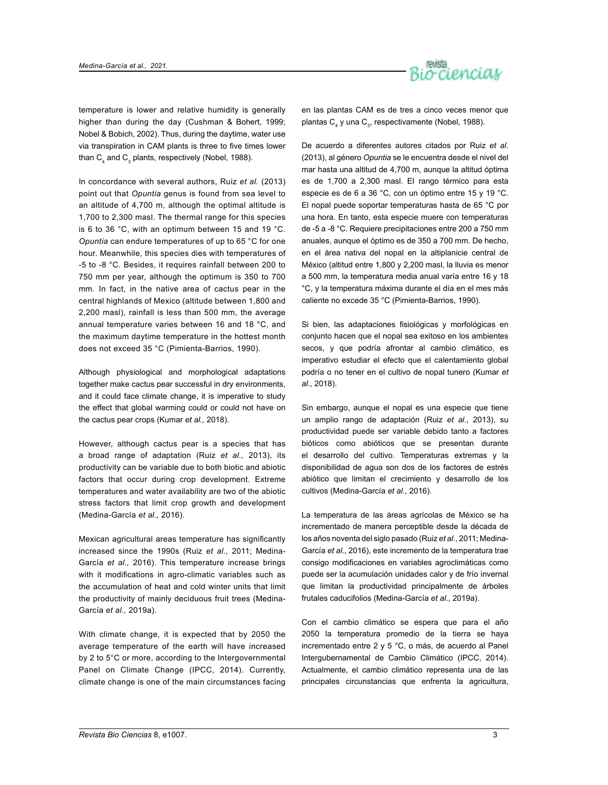

temperature is lower and relative humidity is generally higher than during the day (Cushman & Bohert, 1999; Nobel & Bobich, 2002). Thus, during the daytime, water use via transpiration in CAM plants is three to five times lower than  $\textsf{C}_\textsf{4}$  and  $\textsf{C}_\textsf{3}$  plants, respectively (Nobel, 1988).

In concordance with several authors, Ruiz *et al.* (2013) point out that *Opuntia* genus is found from sea level to an altitude of 4,700 m, although the optimal altitude is 1,700 to 2,300 masl. The thermal range for this species is 6 to 36 °C, with an optimum between 15 and 19 °C. *Opuntia* can endure temperatures of up to 65 °C for one hour. Meanwhile, this species dies with temperatures of -5 to -8 °C. Besides, it requires rainfall between 200 to 750 mm per year, although the optimum is 350 to 700 mm. In fact, in the native area of cactus pear in the central highlands of Mexico (altitude between 1,800 and 2,200 masl), rainfall is less than 500 mm, the average annual temperature varies between 16 and 18 °C, and the maximum daytime temperature in the hottest month does not exceed 35 °C (Pimienta-Barrios, 1990).

Although physiological and morphological adaptations together make cactus pear successful in dry environments, and it could face climate change, it is imperative to study the effect that global warming could or could not have on the cactus pear crops (Kumar *et al.,* 2018).

However, although cactus pear is a species that has a broad range of adaptation (Ruiz *et al.,* 2013), its productivity can be variable due to both biotic and abiotic factors that occur during crop development. Extreme temperatures and water availability are two of the abiotic stress factors that limit crop growth and development (Medina-García *et al.,* 2016).

Mexican agricultural areas temperature has significantly increased since the 1990s (Ruiz *et al.,* 2011; Medina-García *et al.,* 2016). This temperature increase brings with it modifications in agro-climatic variables such as the accumulation of heat and cold winter units that limit the productivity of mainly deciduous fruit trees (Medina-García *et al.,* 2019a).

With climate change, it is expected that by 2050 the average temperature of the earth will have increased by 2 to 5°C or more, according to the Intergovernmental Panel on Climate Change (IPCC, 2014). Currently, climate change is one of the main circumstances facing en las plantas CAM es de tres a cinco veces menor que plantas C $_4$  y una C $_3$ , respectivamente (Nobel, 1988).

De acuerdo a diferentes autores citados por Ruiz *et al.* (2013), al género *Opuntia* se le encuentra desde el nivel del mar hasta una altitud de 4,700 m, aunque la altitud óptima es de 1,700 a 2,300 masl. El rango térmico para esta especie es de 6 a 36 °C, con un óptimo entre 15 y 19 °C. El nopal puede soportar temperaturas hasta de 65 °C por una hora. En tanto, esta especie muere con temperaturas de -5 a -8 °C. Requiere precipitaciones entre 200 a 750 mm anuales, aunque el óptimo es de 350 a 700 mm. De hecho, en el área nativa del nopal en la altiplanicie central de México (altitud entre 1,800 y 2,200 masl, la lluvia es menor a 500 mm, la temperatura media anual varía entre 16 y 18 °C, y la temperatura máxima durante el día en el mes más caliente no excede 35 °C (Pimienta-Barrios, 1990).

Si bien, las adaptaciones fisiológicas y morfológicas en conjunto hacen que el nopal sea exitoso en los ambientes secos, y que podría afrontar al cambio climático, es imperativo estudiar el efecto que el calentamiento global podría o no tener en el cultivo de nopal tunero (Kumar *et al*., 2018).

Sin embargo, aunque el nopal es una especie que tiene un amplio rango de adaptación (Ruiz *et al*., 2013), su productividad puede ser variable debido tanto a factores bióticos como abióticos que se presentan durante el desarrollo del cultivo. Temperaturas extremas y la disponibilidad de agua son dos de los factores de estrés abiótico que limitan el crecimiento y desarrollo de los cultivos (Medina-García *et al*., 2016).

La temperatura de las áreas agrícolas de México se ha incrementado de manera perceptible desde la década de los años noventa del siglo pasado (Ruiz *et al*., 2011; Medina-García *et al*., 2016), este incremento de la temperatura trae consigo modificaciones en variables agroclimáticas como puede ser la acumulación unidades calor y de frío invernal que limitan la productividad principalmente de árboles frutales caducifolios (Medina-García *et al*., 2019a).

Con el cambio climático se espera que para el año 2050 la temperatura promedio de la tierra se haya incrementado entre 2 y 5 °C, o más, de acuerdo al Panel Intergubernamental de Cambio Climático (IPCC, 2014). Actualmente, el cambio climático representa una de las principales circunstancias que enfrenta la agricultura,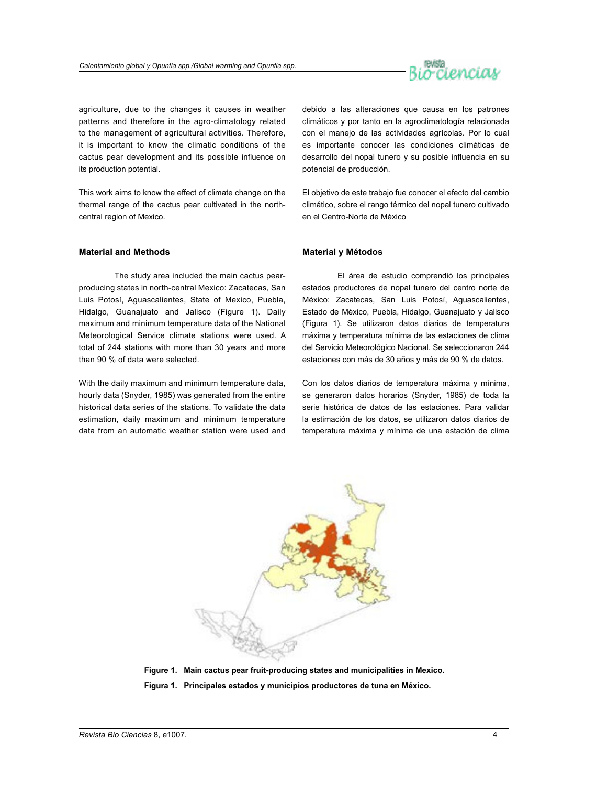

agriculture, due to the changes it causes in weather patterns and therefore in the agro-climatology related to the management of agricultural activities. Therefore, it is important to know the climatic conditions of the cactus pear development and its possible influence on its production potential.

This work aims to know the effect of climate change on the thermal range of the cactus pear cultivated in the northcentral region of Mexico.

# **Material and Methods**

The study area included the main cactus pearproducing states in north-central Mexico: Zacatecas, San Luis Potosí, Aguascalientes, State of Mexico, Puebla, Hidalgo, Guanajuato and Jalisco (Figure 1). Daily maximum and minimum temperature data of the National Meteorological Service climate stations were used. A total of 244 stations with more than 30 years and more than 90 % of data were selected.

With the daily maximum and minimum temperature data, hourly data (Snyder, 1985) was generated from the entire historical data series of the stations. To validate the data estimation, daily maximum and minimum temperature data from an automatic weather station were used and

debido a las alteraciones que causa en los patrones climáticos y por tanto en la agroclimatología relacionada con el manejo de las actividades agrícolas. Por lo cual es importante conocer las condiciones climáticas de desarrollo del nopal tunero y su posible influencia en su potencial de producción.

El objetivo de este trabajo fue conocer el efecto del cambio climático, sobre el rango térmico del nopal tunero cultivado en el Centro-Norte de México

# **Material y Métodos**

El área de estudio comprendió los principales estados productores de nopal tunero del centro norte de México: Zacatecas, San Luis Potosí, Aguascalientes, Estado de México, Puebla, Hidalgo, Guanajuato y Jalisco (Figura 1). Se utilizaron datos diarios de temperatura máxima y temperatura mínima de las estaciones de clima del Servicio Meteorológico Nacional. Se seleccionaron 244 estaciones con más de 30 años y más de 90 % de datos.

Con los datos diarios de temperatura máxima y mínima, se generaron datos horarios (Snyder, 1985) de toda la serie histórica de datos de las estaciones. Para validar la estimación de los datos, se utilizaron datos diarios de temperatura máxima y mínima de una estación de clima



**Figure 1. Main cactus pear fruit-producing states and municipalities in Mexico. Figura 1. Principales estados y municipios productores de tuna en México.**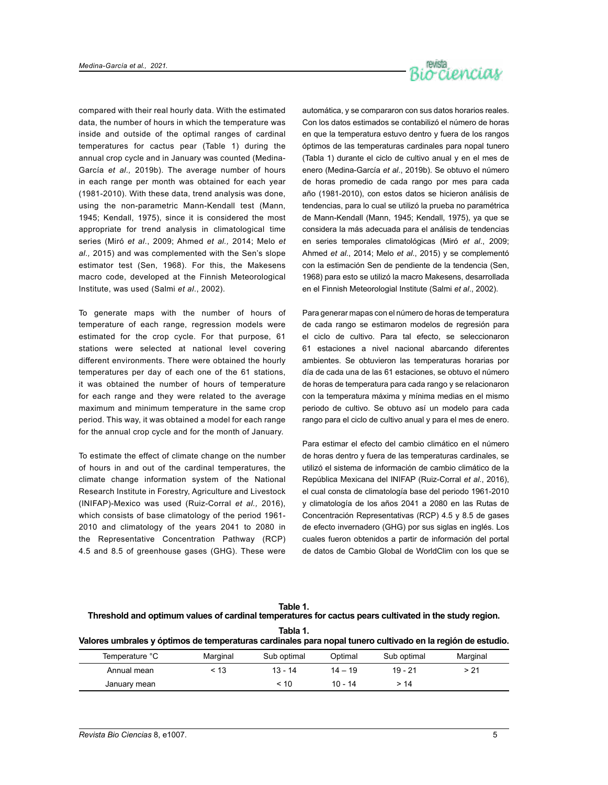

compared with their real hourly data. With the estimated data, the number of hours in which the temperature was inside and outside of the optimal ranges of cardinal temperatures for cactus pear (Table 1) during the annual crop cycle and in January was counted (Medina-García *et al.,* 2019b). The average number of hours in each range per month was obtained for each year (1981-2010). With these data, trend analysis was done, using the non-parametric Mann-Kendall test (Mann, 1945; Kendall, 1975), since it is considered the most appropriate for trend analysis in climatological time series (Miró *et al*., 2009; Ahmed *et al.,* 2014; Melo *et al.,* 2015) and was complemented with the Sen's slope estimator test (Sen, 1968). For this, the Makesens macro code, developed at the Finnish Meteorological Institute, was used (Salmi *et al*., 2002).

To generate maps with the number of hours of temperature of each range, regression models were estimated for the crop cycle. For that purpose, 61 stations were selected at national level covering different environments. There were obtained the hourly temperatures per day of each one of the 61 stations, it was obtained the number of hours of temperature for each range and they were related to the average maximum and minimum temperature in the same crop period. This way, it was obtained a model for each range for the annual crop cycle and for the month of January.

To estimate the effect of climate change on the number of hours in and out of the cardinal temperatures, the climate change information system of the National Research Institute in Forestry, Agriculture and Livestock (INIFAP)-Mexico was used (Ruiz-Corral *et al.,* 2016), which consists of base climatology of the period 1961- 2010 and climatology of the years 2041 to 2080 in the Representative Concentration Pathway (RCP) 4.5 and 8.5 of greenhouse gases (GHG). These were automática, y se compararon con sus datos horarios reales. Con los datos estimados se contabilizó el número de horas en que la temperatura estuvo dentro y fuera de los rangos óptimos de las temperaturas cardinales para nopal tunero (Tabla 1) durante el ciclo de cultivo anual y en el mes de enero (Medina-García *et al*., 2019b). Se obtuvo el número de horas promedio de cada rango por mes para cada año (1981-2010), con estos datos se hicieron análisis de tendencias, para lo cual se utilizó la prueba no paramétrica de Mann-Kendall (Mann, 1945; Kendall, 1975), ya que se considera la más adecuada para el análisis de tendencias en series temporales climatológicas (Miró *et al*., 2009; Ahmed *et al*., 2014; Melo *et al*., 2015) y se complementó con la estimación Sen de pendiente de la tendencia (Sen, 1968) para esto se utilizó la macro Makesens, desarrollada en el Finnish Meteorologial Institute (Salmi *et al*., 2002).

Para generar mapas con el número de horas de temperatura de cada rango se estimaron modelos de regresión para el ciclo de cultivo. Para tal efecto, se seleccionaron 61 estaciones a nivel nacional abarcando diferentes ambientes. Se obtuvieron las temperaturas horarias por día de cada una de las 61 estaciones, se obtuvo el número de horas de temperatura para cada rango y se relacionaron con la temperatura máxima y mínima medias en el mismo periodo de cultivo. Se obtuvo así un modelo para cada rango para el ciclo de cultivo anual y para el mes de enero.

Para estimar el efecto del cambio climático en el número de horas dentro y fuera de las temperaturas cardinales, se utilizó el sistema de información de cambio climático de la República Mexicana del INIFAP (Ruiz-Corral *et al*., 2016), el cual consta de climatología base del periodo 1961-2010 y climatología de los años 2041 a 2080 en las Rutas de Concentración Representativas (RCP) 4.5 y 8.5 de gases de efecto invernadero (GHG) por sus siglas en inglés. Los cuales fueron obtenidos a partir de información del portal de datos de Cambio Global de WorldClim con los que se

| aple<br>۰.<br>×<br>٠ |
|----------------------|
|----------------------|

**Threshold and optimum values of cardinal temperatures for cactus pears cultivated in the study region.**

**Tabla 1.**

|  |  |  | Valores umbrales y óptimos de temperaturas cardinales para nopal tunero cultivado en la región de estudio. |
|--|--|--|------------------------------------------------------------------------------------------------------------|
|--|--|--|------------------------------------------------------------------------------------------------------------|

| Temperature °C | Marginal | Sub optimal | Optimal   | Sub optimal | Marginal |
|----------------|----------|-------------|-----------|-------------|----------|
| Annual mean    | ፡ 13     | $13 - 14$   | $14 - 19$ | 19 - 21     | > 21     |
| January mean   |          | < 10        | $10 - 14$ | >14         |          |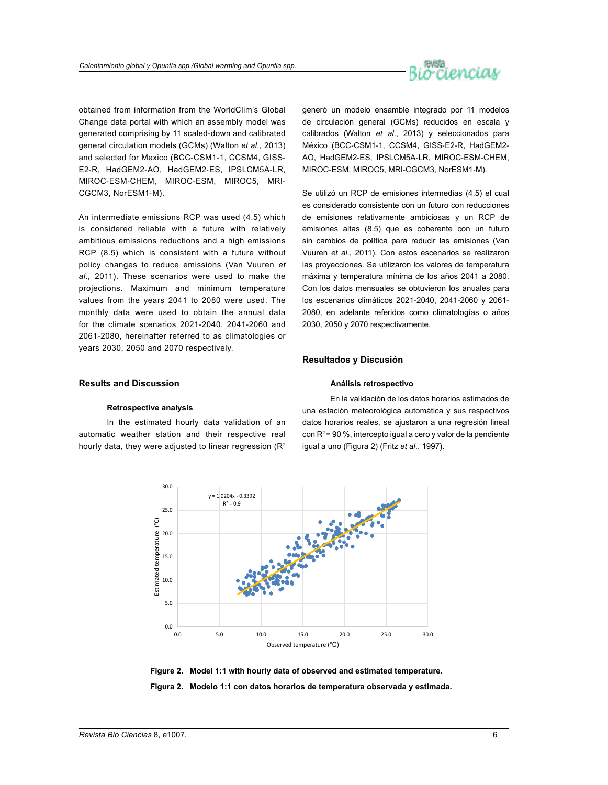

obtained from information from the WorldClim's Global Change data portal with which an assembly model was generated comprising by 11 scaled-down and calibrated general circulation models (GCMs) (Walton *et al.,* 2013) and selected for Mexico (BCC‐CSM1‐1, CCSM4, GISS‐ E2‐R, HadGEM2‐AO, HadGEM2‐ES, IPSLCM5A‐LR, MIROC‐ESM‐CHEM, MIROC‐ESM, MIROC5, MRI‐ CGCM3, NorESM1‐M).

An intermediate emissions RCP was used (4.5) which is considered reliable with a future with relatively ambitious emissions reductions and a high emissions RCP (8.5) which is consistent with a future without policy changes to reduce emissions (Van Vuuren *et al.,* 2011). These scenarios were used to make the projections. Maximum and minimum temperature values from the years 2041 to 2080 were used. The monthly data were used to obtain the annual data for the climate scenarios 2021-2040, 2041-2060 and 2061-2080, hereinafter referred to as climatologies or years 2030, 2050 and 2070 respectively.

generó un modelo ensamble integrado por 11 modelos de circulación general (GCMs) reducidos en escala y calibrados (Walton *et al*., 2013) y seleccionados para México (BCC‐CSM1‐1, CCSM4, GISS‐E2‐R, HadGEM2‐ AO, HadGEM2‐ES, IPSLCM5A‐LR, MIROC‐ESM‐CHEM, MIROC‐ESM, MIROC5, MRI‐CGCM3, NorESM1‐M).

Se utilizó un RCP de emisiones intermedias (4.5) el cual es considerado consistente con un futuro con reducciones de emisiones relativamente ambiciosas y un RCP de emisiones altas (8.5) que es coherente con un futuro sin cambios de política para reducir las emisiones (Van Vuuren *et al*., 2011). Con estos escenarios se realizaron las proyecciones. Se utilizaron los valores de temperatura máxima y temperatura mínima de los años 2041 a 2080. Con los datos mensuales se obtuvieron los anuales para los escenarios climáticos 2021-2040, 2041-2060 y 2061- 2080, en adelante referidos como climatologías o años 2030, 2050 y 2070 respectivamente.

#### **Resultados y Discusión**

#### **Análisis retrospectivo**

# **Results and Discussion**

#### **Retrospective analysis**

In the estimated hourly data validation of an automatic weather station and their respective real hourly data, they were adjusted to linear regression ( $\mathsf{R}^2$ )

En la validación de los datos horarios estimados de una estación meteorológica automática y sus respectivos datos horarios reales, se ajustaron a una regresión lineal con  $R^2$  = 90 %, intercepto igual a cero y valor de la pendiente igual a uno (Figura 2) (Fritz *et al*., 1997).



**Figure 2. Model 1:1 with hourly data of observed and estimated temperature. Figura 2. Modelo 1:1 con datos horarios de temperatura observada y estimada.**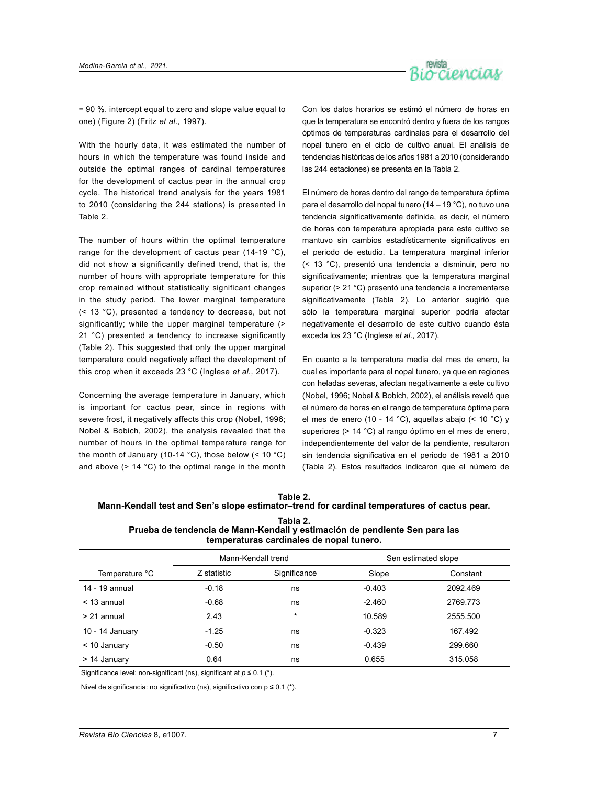

= 90 %, intercept equal to zero and slope value equal to one) (Figure 2) (Fritz *et al.,* 1997).

With the hourly data, it was estimated the number of hours in which the temperature was found inside and outside the optimal ranges of cardinal temperatures for the development of cactus pear in the annual crop cycle. The historical trend analysis for the years 1981 to 2010 (considering the 244 stations) is presented in Table 2.

The number of hours within the optimal temperature range for the development of cactus pear (14-19 °C), did not show a significantly defined trend, that is, the number of hours with appropriate temperature for this crop remained without statistically significant changes in the study period. The lower marginal temperature (< 13 °C), presented a tendency to decrease, but not significantly; while the upper marginal temperature (> 21 °C) presented a tendency to increase significantly (Table 2). This suggested that only the upper marginal temperature could negatively affect the development of this crop when it exceeds 23 °C (Inglese *et al.,* 2017).

Concerning the average temperature in January, which is important for cactus pear, since in regions with severe frost, it negatively affects this crop (Nobel, 1996; Nobel & Bobich, 2002), the analysis revealed that the number of hours in the optimal temperature range for the month of January (10-14 °C), those below (< 10 °C) and above  $(> 14 \degree C)$  to the optimal range in the month Con los datos horarios se estimó el número de horas en que la temperatura se encontró dentro y fuera de los rangos óptimos de temperaturas cardinales para el desarrollo del nopal tunero en el ciclo de cultivo anual. El análisis de tendencias históricas de los años 1981 a 2010 (considerando las 244 estaciones) se presenta en la Tabla 2.

El número de horas dentro del rango de temperatura óptima para el desarrollo del nopal tunero (14 – 19 °C), no tuvo una tendencia significativamente definida, es decir, el número de horas con temperatura apropiada para este cultivo se mantuvo sin cambios estadísticamente significativos en el periodo de estudio. La temperatura marginal inferior (< 13 °C), presentó una tendencia a disminuir, pero no significativamente; mientras que la temperatura marginal superior (> 21 °C) presentó una tendencia a incrementarse significativamente (Tabla 2). Lo anterior sugirió que sólo la temperatura marginal superior podría afectar negativamente el desarrollo de este cultivo cuando ésta exceda los 23 °C (Inglese *et al*., 2017).

En cuanto a la temperatura media del mes de enero, la cual es importante para el nopal tunero, ya que en regiones con heladas severas, afectan negativamente a este cultivo (Nobel, 1996; Nobel & Bobich, 2002), el análisis reveló que el número de horas en el rango de temperatura óptima para el mes de enero (10 - 14 °C), aquellas abajo (< 10 °C) y superiores (> 14 °C) al rango óptimo en el mes de enero, independientemente del valor de la pendiente, resultaron sin tendencia significativa en el periodo de 1981 a 2010 (Tabla 2). Estos resultados indicaron que el número de

| Table 2.                                                                                    |
|---------------------------------------------------------------------------------------------|
| Mann-Kendall test and Sen's slope estimator–trend for cardinal temperatures of cactus pear. |
| Tahla 2                                                                                     |

| .                                                                          |  |
|----------------------------------------------------------------------------|--|
| Prueba de tendencia de Mann-Kendall y estimación de pendiente Sen para las |  |
| temperaturas cardinales de nopal tunero.                                   |  |

|                 | Mann-Kendall trend |              |          | Sen estimated slope |
|-----------------|--------------------|--------------|----------|---------------------|
| Temperature °C  | Z statistic        | Significance | Slope    | Constant            |
| 14 - 19 annual  | $-0.18$            | ns           | $-0.403$ | 2092.469            |
| $<$ 13 annual   | $-0.68$            | ns           | $-2.460$ | 2769.773            |
| > 21 annual     | 2.43               | $\star$      | 10.589   | 2555.500            |
| 10 - 14 January | $-1.25$            | ns           | $-0.323$ | 167.492             |
| $<$ 10 January  | -0.50              | ns           | $-0.439$ | 299.660             |
| > 14 January    | 0.64               | ns           | 0.655    | 315.058             |

Significance level: non-significant (ns), significant at *p* ≤ 0.1 (\*).

Nivel de significancia: no significativo (ns), significativo con p ≤ 0.1 (\*).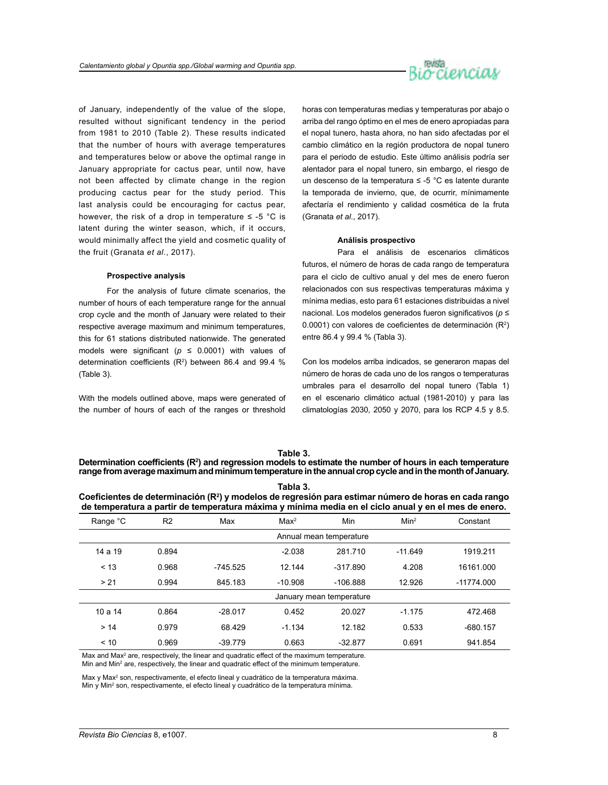

of January, independently of the value of the slope, resulted without significant tendency in the period from 1981 to 2010 (Table 2). These results indicated that the number of hours with average temperatures and temperatures below or above the optimal range in January appropriate for cactus pear, until now, have not been affected by climate change in the region producing cactus pear for the study period. This last analysis could be encouraging for cactus pear, however, the risk of a drop in temperature  $\le$  -5 °C is latent during the winter season, which, if it occurs, would minimally affect the yield and cosmetic quality of the fruit (Granata *et al*., 2017).

#### **Prospective analysis**

For the analysis of future climate scenarios, the number of hours of each temperature range for the annual crop cycle and the month of January were related to their respective average maximum and minimum temperatures, this for 61 stations distributed nationwide. The generated models were significant ( $p \le 0.0001$ ) with values of determination coefficients  $(R^2)$  between 86.4 and 99.4 % (Table 3).

With the models outlined above, maps were generated of the number of hours of each of the ranges or threshold horas con temperaturas medias y temperaturas por abajo o arriba del rango óptimo en el mes de enero apropiadas para el nopal tunero, hasta ahora, no han sido afectadas por el cambio climático en la región productora de nopal tunero para el periodo de estudio. Este último análisis podría ser alentador para el nopal tunero, sin embargo, el riesgo de un descenso de la temperatura ≤ -5 °C es latente durante la temporada de invierno, que, de ocurrir, mínimamente afectaría el rendimiento y calidad cosmética de la fruta (Granata *et al*., 2017).

#### **Análisis prospectivo**

Para el análisis de escenarios climáticos futuros, el número de horas de cada rango de temperatura para el ciclo de cultivo anual y del mes de enero fueron relacionados con sus respectivas temperaturas máxima y mínima medias, esto para 61 estaciones distribuidas a nivel nacional. Los modelos generados fueron significativos (*p* ≤ 0.0001) con valores de coeficientes de determinación  $(R^2)$ entre 86.4 y 99.4 % (Tabla 3).

Con los modelos arriba indicados, se generaron mapas del número de horas de cada uno de los rangos o temperaturas umbrales para el desarrollo del nopal tunero (Tabla 1) en el escenario climático actual (1981-2010) y para las climatologías 2030, 2050 y 2070, para los RCP 4.5 y 8.5.

#### **Table 3.**

Determination coefficients (R<sup>2</sup>) and regression models to estimate the number of hours in each temperature **range from average maximum and minimum temperature in the annual crop cycle and in the month of January.**

| Tabla 3.                                                                                                  |
|-----------------------------------------------------------------------------------------------------------|
| Coeficientes de determinación ( $R^2$ ) y modelos de regresión para estimar número de horas en cada rango |
| de temperatura a partir de temperatura máxima y mínima media en el ciclo anual y en el mes de enero.      |

|          | . .            | . .        | -                |                          |                  |              |
|----------|----------------|------------|------------------|--------------------------|------------------|--------------|
| Range °C | R <sub>2</sub> | Max        | Max <sup>2</sup> | Min                      | Min <sup>2</sup> | Constant     |
|          |                |            |                  | Annual mean temperature  |                  |              |
| 14a19    | 0.894          |            | $-2.038$         | 281.710                  | $-11.649$        | 1919.211     |
| < 13     | 0.968          | $-745.525$ | 12.144           | $-317.890$               | 4.208            | 16161.000    |
| > 21     | 0.994          | 845.183    | $-10.908$        | $-106.888$               | 12.926           | $-11774.000$ |
|          |                |            |                  | January mean temperature |                  |              |
| 10a14    | 0.864          | $-28.017$  | 0.452            | 20.027                   | $-1.175$         | 472.468      |
| >14      | 0.979          | 68.429     | $-1.134$         | 12.182                   | 0.533            | $-680.157$   |
| < 10     | 0.969          | $-39.779$  | 0.663            | $-32.877$                | 0.691            | 941.854      |

Max and Max<sup>2</sup> are, respectively, the linear and quadratic effect of the maximum temperature. Min and Min<sup>2</sup> are, respectively, the linear and quadratic effect of the minimum temperature.

Max y Max<sup>2</sup> son, respectivamente, el efecto lineal y cuadrático de la temperatura máxima. Min y Min<sup>2</sup> son, respectivamente, el efecto lineal y cuadrático de la temperatura mínima.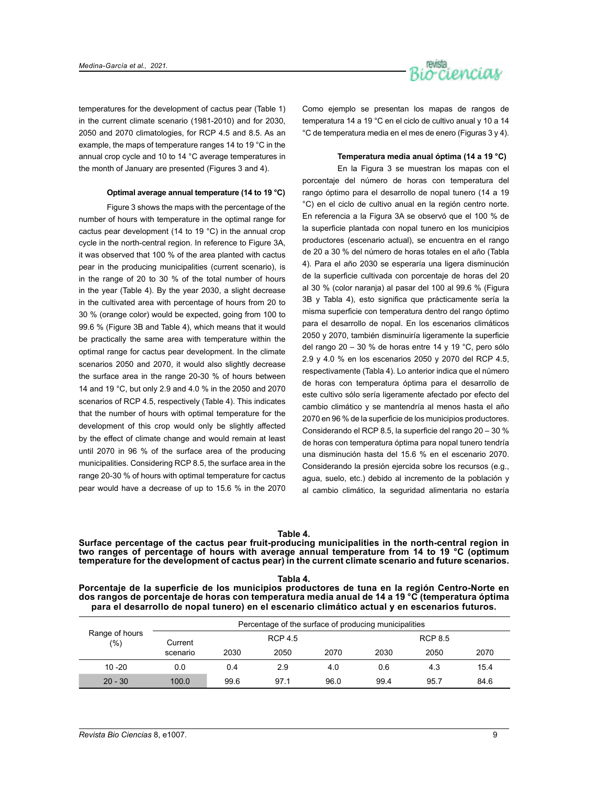

temperatures for the development of cactus pear (Table 1) in the current climate scenario (1981-2010) and for 2030, 2050 and 2070 climatologies, for RCP 4.5 and 8.5. As an example, the maps of temperature ranges 14 to 19 °C in the annual crop cycle and 10 to 14 °C average temperatures in the month of January are presented (Figures 3 and 4).

#### **Optimal average annual temperature (14 to 19 °C)**

Figure 3 shows the maps with the percentage of the number of hours with temperature in the optimal range for cactus pear development (14 to 19 °C) in the annual crop cycle in the north-central region. In reference to Figure 3A, it was observed that 100 % of the area planted with cactus pear in the producing municipalities (current scenario), is in the range of 20 to 30 % of the total number of hours in the year (Table 4). By the year 2030, a slight decrease in the cultivated area with percentage of hours from 20 to 30 % (orange color) would be expected, going from 100 to 99.6 % (Figure 3B and Table 4), which means that it would be practically the same area with temperature within the optimal range for cactus pear development. In the climate scenarios 2050 and 2070, it would also slightly decrease the surface area in the range 20-30 % of hours between 14 and 19 °C, but only 2.9 and 4.0 % in the 2050 and 2070 scenarios of RCP 4.5, respectively (Table 4). This indicates that the number of hours with optimal temperature for the development of this crop would only be slightly affected by the effect of climate change and would remain at least until 2070 in 96 % of the surface area of the producing municipalities. Considering RCP 8.5, the surface area in the range 20-30 % of hours with optimal temperature for cactus pear would have a decrease of up to 15.6 % in the 2070 Como ejemplo se presentan los mapas de rangos de temperatura 14 a 19 °C en el ciclo de cultivo anual y 10 a 14 °C de temperatura media en el mes de enero (Figuras 3 y 4).

#### **Temperatura media anual óptima (14 a 19 °C)**

En la Figura 3 se muestran los mapas con el porcentaje del número de horas con temperatura del rango óptimo para el desarrollo de nopal tunero (14 a 19 °C) en el ciclo de cultivo anual en la región centro norte. En referencia a la Figura 3A se observó que el 100 % de la superficie plantada con nopal tunero en los municipios productores (escenario actual), se encuentra en el rango de 20 a 30 % del número de horas totales en el año (Tabla 4). Para el año 2030 se esperaría una ligera disminución de la superficie cultivada con porcentaje de horas del 20 al 30 % (color naranja) al pasar del 100 al 99.6 % (Figura 3B y Tabla 4), esto significa que prácticamente sería la misma superficie con temperatura dentro del rango óptimo para el desarrollo de nopal. En los escenarios climáticos 2050 y 2070, también disminuiría ligeramente la superficie del rango 20 – 30 % de horas entre 14 y 19 °C, pero sólo 2.9 y 4.0 % en los escenarios 2050 y 2070 del RCP 4.5, respectivamente (Tabla 4). Lo anterior indica que el número de horas con temperatura óptima para el desarrollo de este cultivo sólo sería ligeramente afectado por efecto del cambio climático y se mantendría al menos hasta el año 2070 en 96 % de la superficie de los municipios productores. Considerando el RCP 8.5, la superficie del rango 20 – 30 % de horas con temperatura óptima para nopal tunero tendría una disminución hasta del 15.6 % en el escenario 2070. Considerando la presión ejercida sobre los recursos (e.g., agua, suelo, etc.) debido al incremento de la población y al cambio climático, la seguridad alimentaria no estaría

#### **Table 4.**

**Surface percentage of the cactus pear fruit-producing municipalities in the north-central region in two ranges of percentage of hours with average annual temperature from 14 to 19 °C (optimum temperature for the development of cactus pear) in the current climate scenario and future scenarios.**

**Tabla 4. Porcentaje de la superficie de los municipios productores de tuna en la región Centro-Norte en dos rangos de porcentaje de horas con temperatura media anual de 14 a 19 °C (temperatura óptima para el desarrollo de nopal tunero) en el escenario climático actual y en escenarios futuros.**

| Range of hours<br>(%) |          |                |      | Percentage of the surface of producing municipalities |                |      |      |  |
|-----------------------|----------|----------------|------|-------------------------------------------------------|----------------|------|------|--|
|                       | Current  | <b>RCP 4.5</b> |      |                                                       | <b>RCP 8.5</b> |      |      |  |
|                       | scenario | 2030           | 2050 | 2070                                                  | 2030           | 2050 | 2070 |  |
| $10 - 20$             | 0.0      | 0.4            | 2.9  | 4.0                                                   | 0.6            | 4.3  | 15.4 |  |
| $20 - 30$             | 100.0    | 99.6           | 97.1 | 96.0                                                  | 99.4           | 95.7 | 84.6 |  |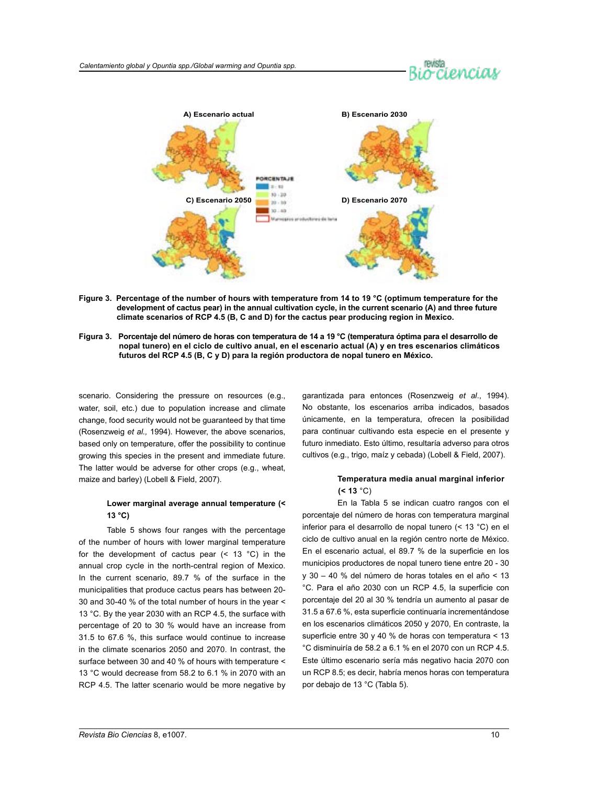# ociencial



- **Figure 3. Percentage of the number of hours with temperature from 14 to 19 °C (optimum temperature for the development of cactus pear) in the annual cultivation cycle, in the current scenario (A) and three future climate scenarios of RCP 4.5 (B, C and D) for the cactus pear producing region in Mexico.**
- **Figura 3. Porcentaje del número de horas con temperatura de 14 a 19 °C (temperatura óptima para el desarrollo de nopal tunero) en el ciclo de cultivo anual, en el escenario actual (A) y en tres escenarios climáticos futuros del RCP 4.5 (B, C y D) para la región productora de nopal tunero en México.**

scenario. Considering the pressure on resources (e.g., water, soil, etc.) due to population increase and climate change, food security would not be guaranteed by that time (Rosenzweig *et al.,* 1994). However, the above scenarios, based only on temperature, offer the possibility to continue growing this species in the present and immediate future. The latter would be adverse for other crops (e.g., wheat, maize and barley) (Lobell & Field, 2007).

# **Lower marginal average annual temperature (< 13 °C)**

Table 5 shows four ranges with the percentage of the number of hours with lower marginal temperature for the development of cactus pear  $($  <  $13$   $^{\circ}$ C $)$  in the annual crop cycle in the north-central region of Mexico. In the current scenario, 89.7 % of the surface in the municipalities that produce cactus pears has between 20- 30 and 30-40 % of the total number of hours in the year < 13 °C. By the year 2030 with an RCP 4.5, the surface with percentage of 20 to 30 % would have an increase from 31.5 to 67.6 %, this surface would continue to increase in the climate scenarios 2050 and 2070. In contrast, the surface between 30 and 40 % of hours with temperature < 13 °C would decrease from 58.2 to 6.1 % in 2070 with an RCP 4.5. The latter scenario would be more negative by garantizada para entonces (Rosenzweig *et al*., 1994). No obstante, los escenarios arriba indicados, basados únicamente, en la temperatura, ofrecen la posibilidad para continuar cultivando esta especie en el presente y futuro inmediato. Esto último, resultaría adverso para otros cultivos (e.g., trigo, maíz y cebada) (Lobell & Field, 2007).

# **Temperatura media anual marginal inferior (< 13** °C)

En la Tabla 5 se indican cuatro rangos con el porcentaje del número de horas con temperatura marginal inferior para el desarrollo de nopal tunero (< 13 °C) en el ciclo de cultivo anual en la región centro norte de México. En el escenario actual, el 89.7 % de la superficie en los municipios productores de nopal tunero tiene entre 20 - 30 y 30 – 40 % del número de horas totales en el año < 13 °C. Para el año 2030 con un RCP 4.5, la superficie con porcentaje del 20 al 30 % tendría un aumento al pasar de 31.5 a 67.6 %, esta superficie continuaría incrementándose en los escenarios climáticos 2050 y 2070, En contraste, la superficie entre 30 y 40 % de horas con temperatura < 13 °C disminuiría de 58.2 a 6.1 % en el 2070 con un RCP 4.5. Este último escenario sería más negativo hacia 2070 con un RCP 8.5; es decir, habría menos horas con temperatura por debajo de 13 °C (Tabla 5).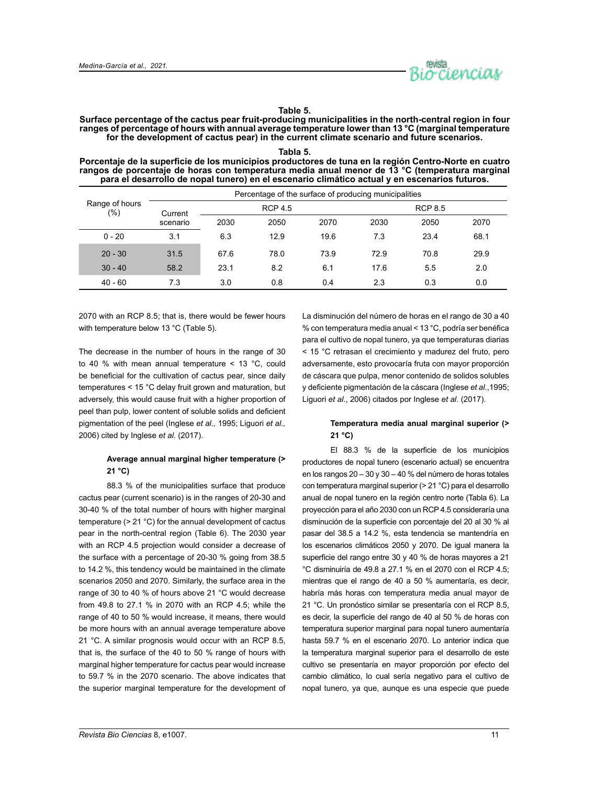

# **Table 5.**

**Surface percentage of the cactus pear fruit-producing municipalities in the north-central region in four ranges of percentage of hours with annual average temperature lower than 13 °C (marginal temperature for the development of cactus pear) in the current climate scenario and future scenarios.**

#### **Tabla 5.**

**Porcentaje de la superficie de los municipios productores de tuna en la región Centro-Norte en cuatro rangos de porcentaje de horas con temperatura media anual menor de 13 °C (temperatura marginal para el desarrollo de nopal tunero) en el escenario climático actual y en escenarios futuros.**

|                       |          |      |                | Percentage of the surface of producing municipalities |      |                |      |  |
|-----------------------|----------|------|----------------|-------------------------------------------------------|------|----------------|------|--|
| Range of hours<br>(%) | Current  |      | <b>RCP 4.5</b> |                                                       |      | <b>RCP 8.5</b> |      |  |
|                       | scenario | 2030 | 2050           | 2070                                                  | 2030 | 2050           | 2070 |  |
| $0 - 20$              | 3.1      | 6.3  | 12.9           | 19.6                                                  | 7.3  | 23.4           | 68.1 |  |
| $20 - 30$             | 31.5     | 67.6 | 78.0           | 73.9                                                  | 72.9 | 70.8           | 29.9 |  |
| $30 - 40$             | 58.2     | 23.1 | 8.2            | 6.1                                                   | 17.6 | 5.5            | 2.0  |  |
| $40 - 60$             | 7.3      | 3.0  | 0.8            | 0.4                                                   | 2.3  | 0.3            | 0.0  |  |

2070 with an RCP 8.5; that is, there would be fewer hours with temperature below 13 °C (Table 5).

The decrease in the number of hours in the range of 30 to 40 % with mean annual temperature < 13 °C, could be beneficial for the cultivation of cactus pear, since daily temperatures < 15 °C delay fruit grown and maturation, but adversely, this would cause fruit with a higher proportion of peel than pulp, lower content of soluble solids and deficient pigmentation of the peel (Inglese *et al.,* 1995; Liguori *et al.,* 2006) cited by Inglese *et al.* (2017).

# **Average annual marginal higher temperature (> 21 °C)**

88.3 % of the municipalities surface that produce cactus pear (current scenario) is in the ranges of 20-30 and 30-40 % of the total number of hours with higher marginal temperature (> 21 °C) for the annual development of cactus pear in the north-central region (Table 6). The 2030 year with an RCP 4.5 projection would consider a decrease of the surface with a percentage of 20-30 % going from 38.5 to 14.2 %, this tendency would be maintained in the climate scenarios 2050 and 2070. Similarly, the surface area in the range of 30 to 40 % of hours above 21 °C would decrease from 49.8 to 27.1 % in 2070 with an RCP 4.5; while the range of 40 to 50 % would increase, it means, there would be more hours with an annual average temperature above 21 °C. A similar prognosis would occur with an RCP 8.5, that is, the surface of the 40 to 50 % range of hours with marginal higher temperature for cactus pear would increase to 59.7 % in the 2070 scenario. The above indicates that the superior marginal temperature for the development of La disminución del número de horas en el rango de 30 a 40 % con temperatura media anual < 13 °C, podría ser benéfica para el cultivo de nopal tunero, ya que temperaturas diarias < 15 °C retrasan el crecimiento y madurez del fruto, pero adversamente, esto provocaría fruta con mayor proporción de cáscara que pulpa, menor contenido de solidos solubles y deficiente pigmentación de la cáscara (Inglese *et al*.,1995; Liguori *et al*., 2006) citados por Inglese *et al*. (2017).

# **Temperatura media anual marginal superior (> 21 °C)**

El 88.3 % de la superficie de los municipios productores de nopal tunero (escenario actual) se encuentra en los rangos 20 – 30 y 30 – 40 % del número de horas totales con temperatura marginal superior (> 21 °C) para el desarrollo anual de nopal tunero en la región centro norte (Tabla 6). La proyección para el año 2030 con un RCP 4.5 consideraría una disminución de la superficie con porcentaje del 20 al 30 % al pasar del 38.5 a 14.2 %, esta tendencia se mantendría en los escenarios climáticos 2050 y 2070. De igual manera la superficie del rango entre 30 y 40 % de horas mayores a 21 °C disminuiría de 49.8 a 27.1 % en el 2070 con el RCP 4.5; mientras que el rango de 40 a 50 % aumentaría, es decir, habría más horas con temperatura media anual mayor de 21 °C. Un pronóstico similar se presentaría con el RCP 8.5, es decir, la superficie del rango de 40 al 50 % de horas con temperatura superior marginal para nopal tunero aumentaría hasta 59.7 % en el escenario 2070. Lo anterior indica que la temperatura marginal superior para el desarrollo de este cultivo se presentaría en mayor proporción por efecto del cambio climático, lo cual sería negativo para el cultivo de nopal tunero, ya que, aunque es una especie que puede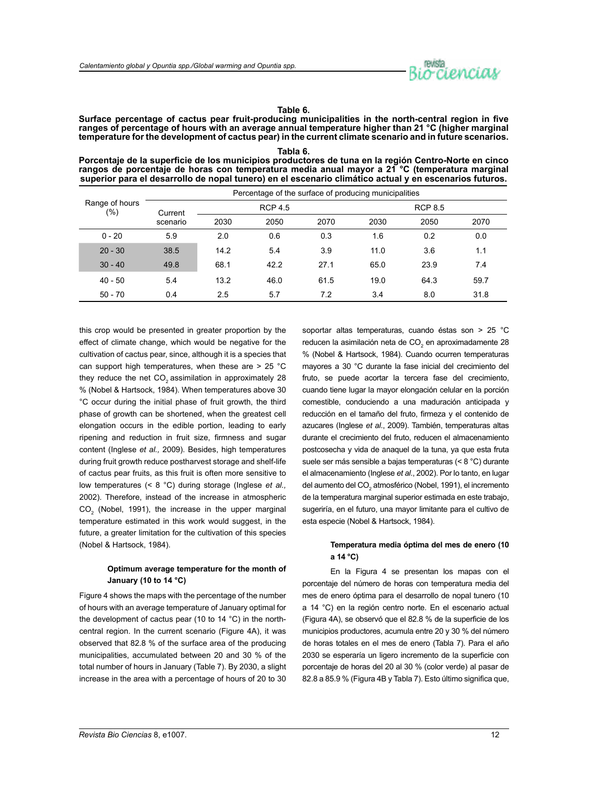

#### **Table 6.**

**Surface percentage of cactus pear fruit-producing municipalities in the north-central region in five ranges of percentage of hours with an average annual temperature higher than 21 °C (higher marginal temperature for the development of cactus pear) in the current climate scenario and in future scenarios.**

**Tabla 6. Porcentaje de la superficie de los municipios productores de tuna en la región Centro-Norte en cinco rangos de porcentaje de horas con temperatura media anual mayor a 21 °C (temperatura marginal superior para el desarrollo de nopal tunero) en el escenario climático actual y en escenarios futuros.**

|                       |          |                |      | Percentage of the surface of producing municipalities |      |      |      |
|-----------------------|----------|----------------|------|-------------------------------------------------------|------|------|------|
| Range of hours<br>(%) | Current  | <b>RCP 4.5</b> |      |                                                       |      |      |      |
|                       | scenario | 2030           | 2050 | 2070                                                  | 2030 | 2050 | 2070 |
| $0 - 20$              | 5.9      | 2.0            | 0.6  | 0.3                                                   | 1.6  | 0.2  | 0.0  |
| $20 - 30$             | 38.5     | 14.2           | 5.4  | 3.9                                                   | 11.0 | 3.6  | 1.1  |
| $30 - 40$             | 49.8     | 68.1           | 42.2 | 27.1                                                  | 65.0 | 23.9 | 7.4  |
| $40 - 50$             | 5.4      | 13.2           | 46.0 | 61.5                                                  | 19.0 | 64.3 | 59.7 |
| $50 - 70$             | 0.4      | 2.5            | 5.7  | 7.2                                                   | 3.4  | 8.0  | 31.8 |

this crop would be presented in greater proportion by the effect of climate change, which would be negative for the cultivation of cactus pear, since, although it is a species that can support high temperatures, when these are > 25 °C they reduce the net  $CO<sub>2</sub>$  assimilation in approximately 28 % (Nobel & Hartsock, 1984). When temperatures above 30 °C occur during the initial phase of fruit growth, the third phase of growth can be shortened, when the greatest cell elongation occurs in the edible portion, leading to early ripening and reduction in fruit size, firmness and sugar content (Inglese *et al.,* 2009). Besides, high temperatures during fruit growth reduce postharvest storage and shelf-life of cactus pear fruits, as this fruit is often more sensitive to low temperatures (< 8 °C) during storage (Inglese *et al.,*  2002). Therefore, instead of the increase in atmospheric  $\mathsf{CO}_2^{\phantom '}$  (Nobel, 1991), the increase in the upper marginal temperature estimated in this work would suggest, in the future, a greater limitation for the cultivation of this species (Nobel & Hartsock, 1984).

# **Optimum average temperature for the month of January (10 to 14 °C)**

Figure 4 shows the maps with the percentage of the number of hours with an average temperature of January optimal for the development of cactus pear (10 to 14 °C) in the northcentral region. In the current scenario (Figure 4A), it was observed that 82.8 % of the surface area of the producing municipalities, accumulated between 20 and 30 % of the total number of hours in January (Table 7). By 2030, a slight increase in the area with a percentage of hours of 20 to 30

soportar altas temperaturas, cuando éstas son > 25 °C reducen la asimilación neta de CO<sub>2</sub> en aproximadamente 28 % (Nobel & Hartsock, 1984). Cuando ocurren temperaturas mayores a 30 °C durante la fase inicial del crecimiento del fruto, se puede acortar la tercera fase del crecimiento, cuando tiene lugar la mayor elongación celular en la porción comestible, conduciendo a una maduración anticipada y reducción en el tamaño del fruto, firmeza y el contenido de azucares (Inglese *et al*., 2009). También, temperaturas altas durante el crecimiento del fruto, reducen el almacenamiento postcosecha y vida de anaquel de la tuna, ya que esta fruta suele ser más sensible a bajas temperaturas (< 8 °C) durante el almacenamiento (Inglese *et al*., 2002). Por lo tanto, en lugar del aumento del CO<sub>2</sub> atmosférico (Nobel, 1991), el incremento de la temperatura marginal superior estimada en este trabajo, sugeriría, en el futuro, una mayor limitante para el cultivo de esta especie (Nobel & Hartsock, 1984).

# **Temperatura media óptima del mes de enero (10 a 14 °C)**

En la Figura 4 se presentan los mapas con el porcentaje del número de horas con temperatura media del mes de enero óptima para el desarrollo de nopal tunero (10 a 14 °C) en la región centro norte. En el escenario actual (Figura 4A), se observó que el 82.8 % de la superficie de los municipios productores, acumula entre 20 y 30 % del número de horas totales en el mes de enero (Tabla 7). Para el año 2030 se esperaría un ligero incremento de la superficie con porcentaje de horas del 20 al 30 % (color verde) al pasar de 82.8 a 85.9 % (Figura 4B y Tabla 7). Esto último significa que,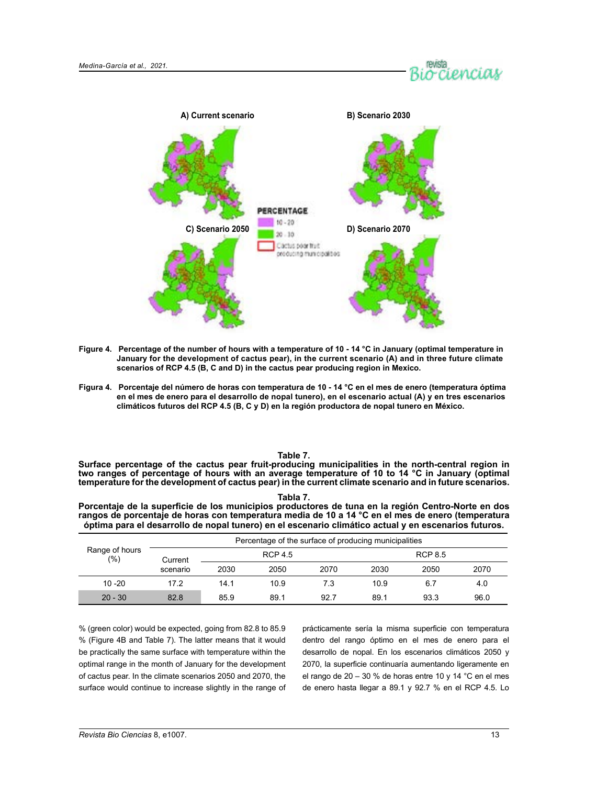



- **Figure 4. Percentage of the number of hours with a temperature of 10 14 °C in January (optimal temperature in January for the development of cactus pear), in the current scenario (A) and in three future climate scenarios of RCP 4.5 (B, C and D) in the cactus pear producing region in Mexico.**
- **Figura 4. Porcentaje del número de horas con temperatura de 10 14 °C en el mes de enero (temperatura óptima en el mes de enero para el desarrollo de nopal tunero), en el escenario actual (A) y en tres escenarios climáticos futuros del RCP 4.5 (B, C y D) en la región productora de nopal tunero en México.**

#### **Table 7.**

**Surface percentage of the cactus pear fruit-producing municipalities in the north-central region in two ranges of percentage of hours with an average temperature of 10 to 14 °C in January (optimal temperature for the development of cactus pear) in the current climate scenario and in future scenarios.**

| ×<br>. . | ×<br>۰, | . . |  |
|----------|---------|-----|--|
|          |         |     |  |

**Porcentaje de la superficie de los municipios productores de tuna en la región Centro-Norte en dos rangos de porcentaje de horas con temperatura media de 10 a 14 °C en el mes de enero (temperatura óptima para el desarrollo de nopal tunero) en el escenario climático actual y en escenarios futuros.**

| Range of hours<br>(%) | Percentage of the surface of producing municipalities |      |      |      |                |      |      |  |
|-----------------------|-------------------------------------------------------|------|------|------|----------------|------|------|--|
|                       | <b>RCP 4.5</b><br>Current                             |      |      |      | <b>RCP 8.5</b> |      |      |  |
|                       | scenario                                              | 2030 | 2050 | 2070 | 2030           | 2050 | 2070 |  |
| $10 - 20$             | 17.2                                                  | 14.1 | 10.9 | 7.3  | 10.9           | 6.7  | 4.0  |  |
| $20 - 30$             | 82.8                                                  | 85.9 | 89.1 | 92.7 | 89.1           | 93.3 | 96.0 |  |

% (green color) would be expected, going from 82.8 to 85.9 % (Figure 4B and Table 7). The latter means that it would be practically the same surface with temperature within the optimal range in the month of January for the development of cactus pear. In the climate scenarios 2050 and 2070, the surface would continue to increase slightly in the range of

prácticamente sería la misma superficie con temperatura dentro del rango óptimo en el mes de enero para el desarrollo de nopal. En los escenarios climáticos 2050 y 2070, la superficie continuaría aumentando ligeramente en el rango de 20 – 30 % de horas entre 10 y 14 °C en el mes de enero hasta llegar a 89.1 y 92.7 % en el RCP 4.5. Lo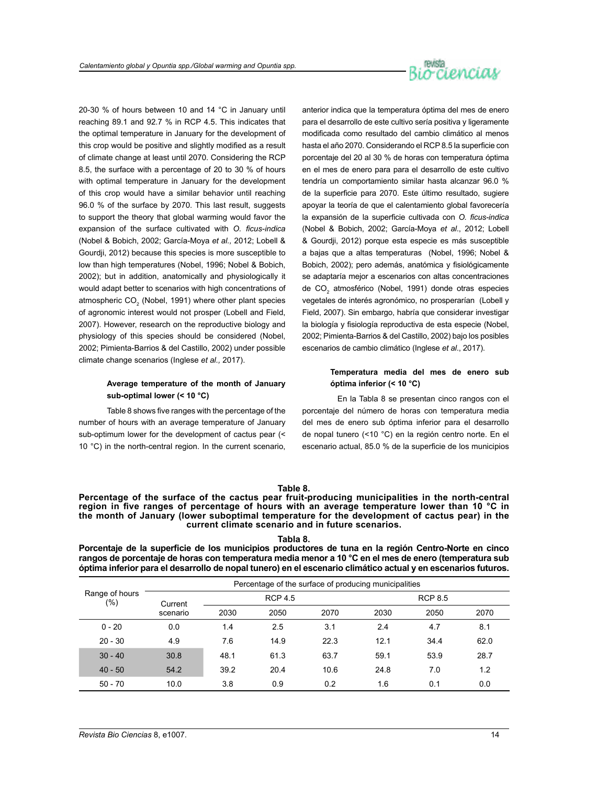

20-30 % of hours between 10 and 14 °C in January until reaching 89.1 and 92.7 % in RCP 4.5. This indicates that the optimal temperature in January for the development of this crop would be positive and slightly modified as a result of climate change at least until 2070. Considering the RCP 8.5, the surface with a percentage of 20 to 30 % of hours with optimal temperature in January for the development of this crop would have a similar behavior until reaching 96.0 % of the surface by 2070. This last result, suggests to support the theory that global warming would favor the expansion of the surface cultivated with *O. ficus-indica*  (Nobel & Bobich, 2002; García-Moya *et al.,* 2012; Lobell & Gourdji, 2012) because this species is more susceptible to low than high temperatures (Nobel, 1996; Nobel & Bobich, 2002); but in addition, anatomically and physiologically it would adapt better to scenarios with high concentrations of atmospheric CO $_{\tiny 2}$  (Nobel, 1991) where other plant species of agronomic interest would not prosper (Lobell and Field, 2007). However, research on the reproductive biology and physiology of this species should be considered (Nobel, 2002; Pimienta-Barrios & del Castillo, 2002) under possible climate change scenarios (Inglese *et al.,* 2017).

# **Average temperature of the month of January sub-optimal lower (< 10 °C)**

Table 8 shows five ranges with the percentage of the number of hours with an average temperature of January sub-optimum lower for the development of cactus pear (< 10 °C) in the north-central region. In the current scenario, anterior indica que la temperatura óptima del mes de enero para el desarrollo de este cultivo sería positiva y ligeramente modificada como resultado del cambio climático al menos hasta el año 2070. Considerando el RCP 8.5 la superficie con porcentaje del 20 al 30 % de horas con temperatura óptima en el mes de enero para para el desarrollo de este cultivo tendría un comportamiento similar hasta alcanzar 96.0 % de la superficie para 2070. Este último resultado, sugiere apoyar la teoría de que el calentamiento global favorecería la expansión de la superficie cultivada con *O. ficus-indica* (Nobel & Bobich, 2002; García-Moya *et al*., 2012; Lobell & Gourdji, 2012) porque esta especie es más susceptible a bajas que a altas temperaturas (Nobel, 1996; Nobel & Bobich, 2002); pero además, anatómica y fisiológicamente se adaptaría mejor a escenarios con altas concentraciones de CO<sub>2</sub> atmosférico (Nobel, 1991) donde otras especies vegetales de interés agronómico, no prosperarían (Lobell y Field, 2007). Sin embargo, habría que considerar investigar la biología y fisiología reproductiva de esta especie (Nobel, 2002; Pimienta-Barrios & del Castillo, 2002) bajo los posibles escenarios de cambio climático (Inglese *et al*., 2017).

# **Temperatura media del mes de enero sub óptima inferior (< 10 °C)**

En la Tabla 8 se presentan cinco rangos con el porcentaje del número de horas con temperatura media del mes de enero sub óptima inferior para el desarrollo de nopal tunero (<10 °C) en la región centro norte. En el escenario actual, 85.0 % de la superficie de los municipios

# **Table 8.**

**Percentage of the surface of the cactus pear fruit-producing municipalities in the north-central region in five ranges of percentage of hours with an average temperature lower than 10 °C in the month of January (lower suboptimal temperature for the development of cactus pear) in the current climate scenario and in future scenarios.**

**Tabla 8.**

**Porcentaje de la superficie de los municipios productores de tuna en la región Centro-Norte en cinco rangos de porcentaje de horas con temperatura media menor a 10 °C en el mes de enero (temperatura sub óptima inferior para el desarrollo de nopal tunero) en el escenario climático actual y en escenarios futuros.**

| Range of hours<br>(%) | Percentage of the surface of producing municipalities |                |      |      |                |      |      |  |
|-----------------------|-------------------------------------------------------|----------------|------|------|----------------|------|------|--|
|                       | Current<br>scenario                                   | <b>RCP 4.5</b> |      |      | <b>RCP 8.5</b> |      |      |  |
|                       |                                                       | 2030           | 2050 | 2070 | 2030           | 2050 | 2070 |  |
| $0 - 20$              | 0.0                                                   | 1.4            | 2.5  | 3.1  | 2.4            | 4.7  | 8.1  |  |
| $20 - 30$             | 4.9                                                   | 7.6            | 14.9 | 22.3 | 12.1           | 34.4 | 62.0 |  |
| $30 - 40$             | 30.8                                                  | 48.1           | 61.3 | 63.7 | 59.1           | 53.9 | 28.7 |  |
| $40 - 50$             | 54.2                                                  | 39.2           | 20.4 | 10.6 | 24.8           | 7.0  | 1.2  |  |
| 50 - 70               | 10.0                                                  | 3.8            | 0.9  | 0.2  | 1.6            | 0.1  | 0.0  |  |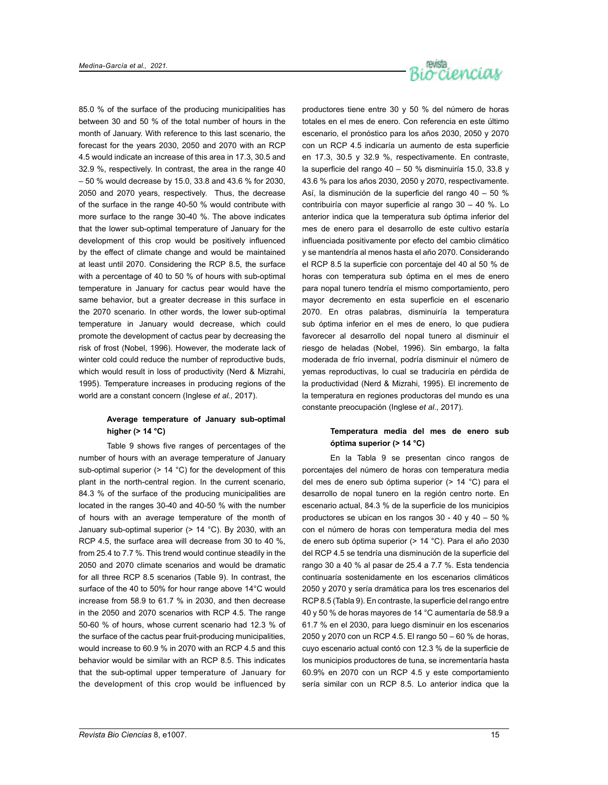

85.0 % of the surface of the producing municipalities has between 30 and 50 % of the total number of hours in the month of January. With reference to this last scenario, the forecast for the years 2030, 2050 and 2070 with an RCP 4.5 would indicate an increase of this area in 17.3, 30.5 and 32.9 %, respectively. In contrast, the area in the range 40 – 50 % would decrease by 15.0, 33.8 and 43.6 % for 2030, 2050 and 2070 years, respectively. Thus, the decrease of the surface in the range 40-50 % would contribute with more surface to the range 30-40 %. The above indicates that the lower sub-optimal temperature of January for the development of this crop would be positively influenced by the effect of climate change and would be maintained at least until 2070. Considering the RCP 8.5, the surface with a percentage of 40 to 50 % of hours with sub-optimal temperature in January for cactus pear would have the same behavior, but a greater decrease in this surface in the 2070 scenario. In other words, the lower sub-optimal temperature in January would decrease, which could promote the development of cactus pear by decreasing the risk of frost (Nobel, 1996). However, the moderate lack of winter cold could reduce the number of reproductive buds, which would result in loss of productivity (Nerd & Mizrahi, 1995). Temperature increases in producing regions of the world are a constant concern (Inglese *et al.,* 2017).

# **Average temperature of January sub-optimal higher (> 14 °C)**

Table 9 shows five ranges of percentages of the number of hours with an average temperature of January sub-optimal superior (> 14 °C) for the development of this plant in the north-central region. In the current scenario, 84.3 % of the surface of the producing municipalities are located in the ranges 30-40 and 40-50 % with the number of hours with an average temperature of the month of January sub-optimal superior (> 14 °C). By 2030, with an RCP 4.5, the surface area will decrease from 30 to 40 %, from 25.4 to 7.7 %. This trend would continue steadily in the 2050 and 2070 climate scenarios and would be dramatic for all three RCP 8.5 scenarios (Table 9). In contrast, the surface of the 40 to 50% for hour range above 14°C would increase from 58.9 to 61.7 % in 2030, and then decrease in the 2050 and 2070 scenarios with RCP 4.5. The range 50-60 % of hours, whose current scenario had 12.3 % of the surface of the cactus pear fruit-producing municipalities, would increase to 60.9 % in 2070 with an RCP 4.5 and this behavior would be similar with an RCP 8.5. This indicates that the sub-optimal upper temperature of January for the development of this crop would be influenced by productores tiene entre 30 y 50 % del número de horas totales en el mes de enero. Con referencia en este último escenario, el pronóstico para los años 2030, 2050 y 2070 con un RCP 4.5 indicaría un aumento de esta superficie en 17.3, 30.5 y 32.9 %, respectivamente. En contraste, la superficie del rango 40 – 50 % disminuiría 15.0, 33.8 y 43.6 % para los años 2030, 2050 y 2070, respectivamente. Así, la disminución de la superficie del rango 40 – 50 % contribuiría con mayor superficie al rango 30 – 40 %. Lo anterior indica que la temperatura sub óptima inferior del mes de enero para el desarrollo de este cultivo estaría influenciada positivamente por efecto del cambio climático y se mantendría al menos hasta el año 2070. Considerando el RCP 8.5 la superficie con porcentaje del 40 al 50 % de horas con temperatura sub óptima en el mes de enero para nopal tunero tendría el mismo comportamiento, pero mayor decremento en esta superficie en el escenario 2070. En otras palabras, disminuiría la temperatura sub óptima inferior en el mes de enero, lo que pudiera favorecer al desarrollo del nopal tunero al disminuir el riesgo de heladas (Nobel, 1996). Sin embargo, la falta moderada de frío invernal, podría disminuir el número de yemas reproductivas, lo cual se traduciría en pérdida de la productividad (Nerd & Mizrahi, 1995). El incremento de la temperatura en regiones productoras del mundo es una constante preocupación (Inglese *et al*., 2017).

# **Temperatura media del mes de enero sub óptima superior (> 14 °C)**

En la Tabla 9 se presentan cinco rangos de porcentajes del número de horas con temperatura media del mes de enero sub óptima superior (> 14 °C) para el desarrollo de nopal tunero en la región centro norte. En escenario actual, 84.3 % de la superficie de los municipios productores se ubican en los rangos 30 - 40 y 40 – 50 % con el número de horas con temperatura media del mes de enero sub óptima superior (> 14 °C). Para el año 2030 del RCP 4.5 se tendría una disminución de la superficie del rango 30 a 40 % al pasar de 25.4 a 7.7 %. Esta tendencia continuaría sostenidamente en los escenarios climáticos 2050 y 2070 y sería dramática para los tres escenarios del RCP 8.5 (Tabla 9). En contraste, la superficie del rango entre 40 y 50 % de horas mayores de 14 °C aumentaría de 58.9 a 61.7 % en el 2030, para luego disminuir en los escenarios 2050 y 2070 con un RCP 4.5. El rango 50 – 60 % de horas, cuyo escenario actual contó con 12.3 % de la superficie de los municipios productores de tuna, se incrementaría hasta 60.9% en 2070 con un RCP 4.5 y este comportamiento sería similar con un RCP 8.5. Lo anterior indica que la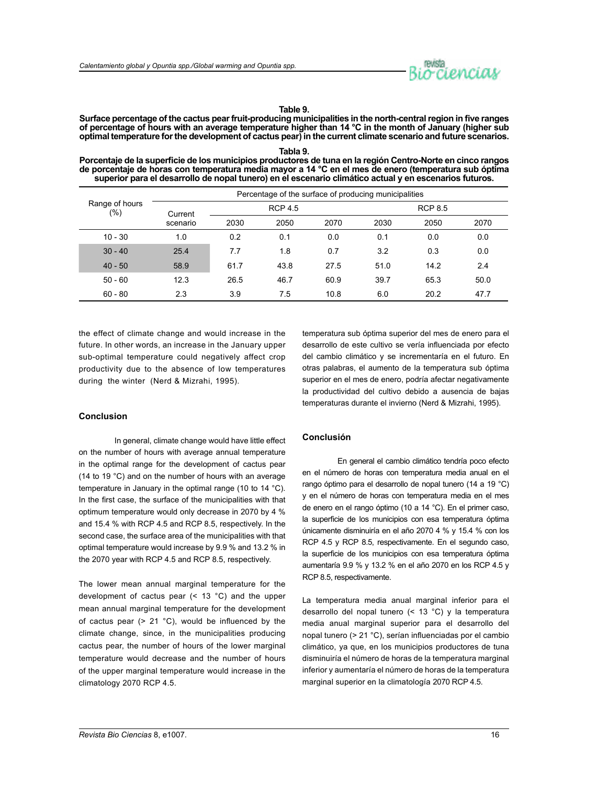

#### **Table 9.**

**Surface percentage of the cactus pear fruit-producing municipalities in the north-central region in five ranges of percentage of hours with an average temperature higher than 14 °C in the month of January (higher sub optimal temperature for the development of cactus pear) in the current climate scenario and future scenarios.**

**Tabla 9. Porcentaje de la superficie de los municipios productores de tuna en la región Centro-Norte en cinco rangos de porcentaje de horas con temperatura media mayor a 14 °C en el mes de enero (temperatura sub óptima superior para el desarrollo de nopal tunero) en el escenario climático actual y en escenarios futuros.**

| Range of hours<br>(%) | Percentage of the surface of producing municipalities |                |      |      |                |      |      |  |
|-----------------------|-------------------------------------------------------|----------------|------|------|----------------|------|------|--|
|                       | Current                                               | <b>RCP 4.5</b> |      |      | <b>RCP 8.5</b> |      |      |  |
|                       | scenario                                              | 2030           | 2050 | 2070 | 2030           | 2050 | 2070 |  |
| $10 - 30$             | 1.0                                                   | 0.2            | 0.1  | 0.0  | 0.1            | 0.0  | 0.0  |  |
| $30 - 40$             | 25.4                                                  | 7.7            | 1.8  | 0.7  | 3.2            | 0.3  | 0.0  |  |
| $40 - 50$             | 58.9                                                  | 61.7           | 43.8 | 27.5 | 51.0           | 14.2 | 2.4  |  |
| $50 - 60$             | 12.3                                                  | 26.5           | 46.7 | 60.9 | 39.7           | 65.3 | 50.0 |  |
| $60 - 80$             | 2.3                                                   | 3.9            | 7.5  | 10.8 | 6.0            | 20.2 | 47.7 |  |

the effect of climate change and would increase in the future. In other words, an increase in the January upper sub-optimal temperature could negatively affect crop productivity due to the absence of low temperatures during the winter (Nerd & Mizrahi, 1995).

temperatura sub óptima superior del mes de enero para el desarrollo de este cultivo se vería influenciada por efecto del cambio climático y se incrementaría en el futuro. En otras palabras, el aumento de la temperatura sub óptima superior en el mes de enero, podría afectar negativamente la productividad del cultivo debido a ausencia de bajas temperaturas durante el invierno (Nerd & Mizrahi, 1995).

# **Conclusion**

In general, climate change would have little effect on the number of hours with average annual temperature in the optimal range for the development of cactus pear (14 to 19 °C) and on the number of hours with an average temperature in January in the optimal range (10 to 14 °C). In the first case, the surface of the municipalities with that optimum temperature would only decrease in 2070 by 4 % and 15.4 % with RCP 4.5 and RCP 8.5, respectively. In the second case, the surface area of the municipalities with that optimal temperature would increase by 9.9 % and 13.2 % in the 2070 year with RCP 4.5 and RCP 8.5, respectively.

The lower mean annual marginal temperature for the development of cactus pear (< 13 °C) and the upper mean annual marginal temperature for the development of cactus pear  $(> 21 \text{ °C})$ , would be influenced by the climate change, since, in the municipalities producing cactus pear, the number of hours of the lower marginal temperature would decrease and the number of hours of the upper marginal temperature would increase in the climatology 2070 RCP 4.5.

### **Conclusión**

En general el cambio climático tendría poco efecto en el número de horas con temperatura media anual en el rango óptimo para el desarrollo de nopal tunero (14 a 19 °C) y en el número de horas con temperatura media en el mes de enero en el rango óptimo (10 a 14 °C). En el primer caso, la superficie de los municipios con esa temperatura óptima únicamente disminuiría en el año 2070 4 % y 15.4 % con los RCP 4.5 y RCP 8.5, respectivamente. En el segundo caso, la superficie de los municipios con esa temperatura óptima aumentaría 9.9 % y 13.2 % en el año 2070 en los RCP 4.5 y RCP 8.5, respectivamente.

La temperatura media anual marginal inferior para el desarrollo del nopal tunero (< 13 °C) y la temperatura media anual marginal superior para el desarrollo del nopal tunero (> 21 °C), serían influenciadas por el cambio climático, ya que, en los municipios productores de tuna disminuiría el número de horas de la temperatura marginal inferior y aumentaría el número de horas de la temperatura marginal superior en la climatología 2070 RCP 4.5.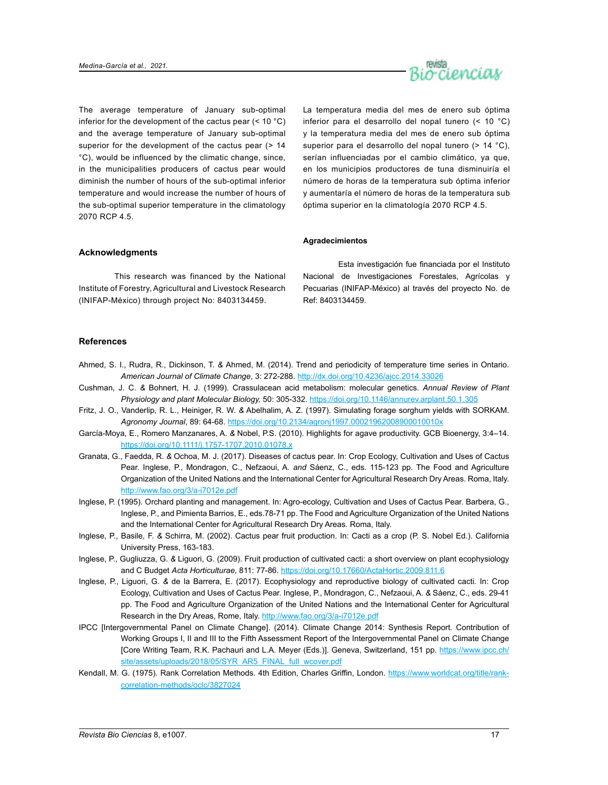

The average temperature of January sub-optimal inferior for the development of the cactus pear  $(< 10 °C)$ and the average temperature of January sub-optimal superior for the development of the cactus pear (> 14 °C), would be influenced by the climatic change, since, in the municipalities producers of cactus pear would diminish the number of hours of the sub-optimal inferior temperature and would increase the number of hours of the sub-optimal superior temperature in the climatology 2070 RCP 4.5.

La temperatura media del mes de enero sub óptima inferior para el desarrollo del nopal tunero (< 10 °C) y la temperatura media del mes de enero sub óptima superior para el desarrollo del nopal tunero (> 14 °C), serían influenciadas por el cambio climático, ya que, en los municipios productores de tuna disminuiría el número de horas de la temperatura sub óptima inferior y aumentaría el número de horas de la temperatura sub óptima superior en la climatología 2070 RCP 4.5.

### **Agradecimientos**

# **Acknowledgments**

This research was financed by the National Institute of Forestry, Agricultural and Livestock Research (INIFAP-México) through project No: 8403134459.

Esta investigación fue financiada por el Instituto Nacional de Investigaciones Forestales, Agrícolas y Pecuarias (INIFAP-México) al través del proyecto No. de Ref: 8403134459.

# **References**

- Ahmed, S. I., Rudra, R., Dickinson, T. *&* Ahmed, M. (2014). Trend and periodicity of temperature time series in Ontario. *American Journal of Climate Change*, 3: 272-288. http://dx.doi.org/10.4236/ajcc.2014.33026
- Cushman, J. C. *&* Bohnert, H. J. (1999). Crassulacean acid metabolism: molecular genetics. *Annual Review of Plant Physiology and plant Molecular Biology,* 50: 305-332. https://doi.org/10.1146/annurev.arplant.50.1.305
- Fritz, J. O., Vanderlip, R. L., Heiniger, R. W. *&* Abelhalim, A. Z. (1997). Simulating forage sorghum yields with SORKAM. *Agronomy Journal*, 89: 64-68. <https://doi.org/10.2134/agronj1997.00021962008900010010x>
- García-Moya, E., Romero Manzanares, A. *&* Nobel, P.S. (2010). Highlights for agave productivity. GCB Bioenergy, 3:4–14. <https://doi.org/10.1111/j.1757-1707.2010.01078.x>
- Granata, G., Faedda, R. *&* Ochoa, M. J. (2017). Diseases of cactus pear. In: Crop Ecology, Cultivation and Uses of Cactus Pear. Inglese, P., Mondragon, C., Nefzaoui, A. *and* Sáenz, C., eds. 115-123 pp. The Food and Agriculture Organization of the United Nations and the International Center for Agricultural Research Dry Areas. Roma, Italy. <http://www.fao.org/3/a-i7012e.pdf>
- Inglese, P. (1995). Orchard planting and management. In: Agro-ecology, Cultivation and Uses of Cactus Pear. Barbera, G., Inglese, P., and Pimienta Barrios, E., eds.78-71 pp. The Food and Agriculture Organization of the United Nations and the International Center for Agricultural Research Dry Areas. Roma, Italy.
- Inglese, P., Basile, F. *&* Schirra, M. (2002). Cactus pear fruit production. In: Cacti as a crop (P. S. Nobel Ed.). California University Press, 163-183.
- Inglese, P., Gugliuzza, G. *&* Liguori, G. (2009). Fruit production of cultivated cacti: a short overview on plant ecophysiology and C Budget *Acta Horticulturae,* 811: 77-86. https://doi.org/10.17660/ActaHortic.2009.811.6
- Inglese, P., Liguori, G. *&* de la Barrera, E. (2017). Ecophysiology and reproductive biology of cultivated cacti. In: Crop Ecology, Cultivation and Uses of Cactus Pear. Inglese, P., Mondragon, C., Nefzaoui, A. *&* Sáenz, C., eds. 29-41 pp. The Food and Agriculture Organization of the United Nations and the International Center for Agricultural Research in the Dry Areas, Rome, Italy.<http://www.fao.org/3/a-i7012e.pdf>
- IPCC [Intergovernmental Panel on Climate Change]. (2014). Climate Change 2014: Synthesis Report. Contribution of Working Groups I, II and III to the Fifth Assessment Report of the Intergovernmental Panel on Climate Change [Core Writing Team, R.K. Pachauri and L.A. Meyer (Eds.)]. Geneva, Switzerland, 151 pp. [https://www.ipcc.ch/](https://www.ipcc.ch/site/assets/uploads/2018/05/SYR_AR5_FINAL_full_wcover.pdf) [site/assets/uploads/2018/05/SYR\\_AR5\\_FINAL\\_full\\_wcover.pdf](https://www.ipcc.ch/site/assets/uploads/2018/05/SYR_AR5_FINAL_full_wcover.pdf)
- Kendall, M. G. (1975). Rank Correlation Methods. 4th Edition, Charles Griffin, London. [https://www.worldcat.org/title/rank](https://www.worldcat.org/title/rank-correlation-methods/oclc/3827024)[correlation-methods/oclc/3827024](https://www.worldcat.org/title/rank-correlation-methods/oclc/3827024)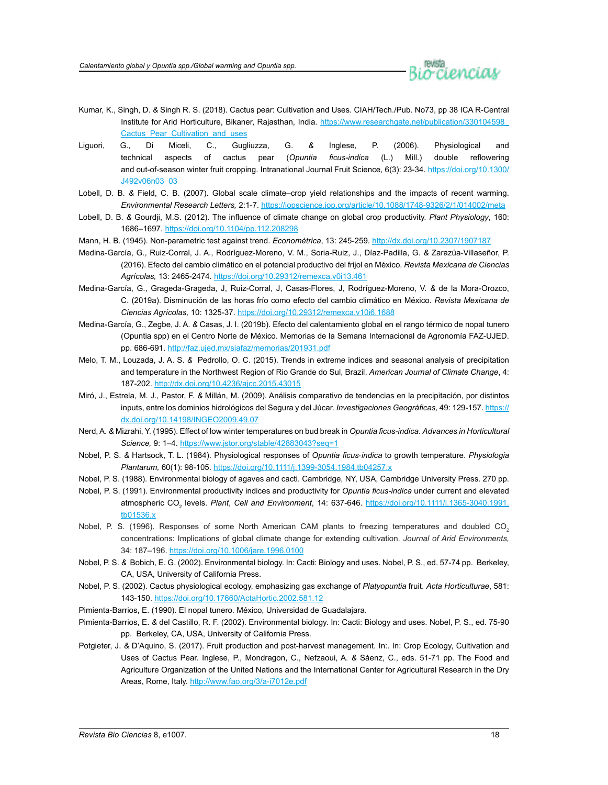

- Kumar, K., Singh, D. *&* Singh R. S. (2018). Cactus pear: Cultivation and Uses. CIAH/Tech./Pub. No73, pp 38 ICA R-Central Institute for Arid Horticulture, Bikaner, Rajasthan, India. https://www.researchgate.net/publication/330104598 [Cactus\\_Pear\\_Cultivation\\_and\\_uses](https://www.researchgate.net/publication/330104598_Cactus_Pear_Cultivation_and_uses)
- Liguori, G., Di Miceli, C., Gugliuzza, G. *&* Inglese, P. (2006). Physiological and technical aspects of cactus pear (*Opuntia ficus-indica* (L.) Mill.) double reflowering and out-of-season winter fruit cropping. Intranational Journal Fruit Science, 6(3): 23-34. [https://doi.org/10.1300/](https://doi.org/10.1300/J492v06n03_03) [J492v06n03\\_03](https://doi.org/10.1300/J492v06n03_03)
- Lobell, D. B. *&* Field, C. B. (2007). Global scale climate–crop yield relationships and the impacts of recent warming. *Environmental Research Letters,* 2:1-7.<https://iopscience.iop.org/article/10.1088/1748-9326/2/1/014002/meta>
- Lobell, D. B. *&* Gourdji, M.S. (2012). The influence of climate change on global crop productivity. *Plant Physiology*, 160: 1686–1697.<https://doi.org/10.1104/pp.112.208298>
- Mann, H. B. (1945). Non-parametric test against trend. *Econométrica*, 13: 245-259. http://dx.doi.org/10.2307/1907187
- Medina-García, G., Ruiz-Corral, J. A., Rodríguez-Moreno, V. M., Soria-Ruiz, J., Díaz-Padilla, G. *&* Zarazúa-Villaseñor, P. (2016). Efecto del cambio climático en el potencial productivo del frijol en México. *Revista Mexicana de Ciencias Agrícolas,* 13: 2465-2474. https://doi.org/10.29312/remexca.v0i13.461
- Medina-García, G., Grageda-Grageda, J, Ruiz-Corral, J, Casas-Flores, J, Rodríguez-Moreno, V. *&* de la Mora-Orozco, C. (2019a). Disminución de las horas frío como efecto del cambio climático en México. *Revista Mexicana de Ciencias Agrícolas,* 10: 1325-37. https://doi.org/10.29312/remexca.v10i6.1688
- Medina-García, G., Zegbe, J. A. *&* Casas, J. I. (2019b). Efecto del calentamiento global en el rango térmico de nopal tunero (Opuntia spp) en el Centro Norte de México. Memorias de la Semana Internacional de Agronomía FAZ-UJED. pp. 686-691.<http://faz.ujed.mx/siafaz/memorias/201931.pdf>
- Melo, T. M., Louzada, J. A. S. *&* Pedrollo, O. C. (2015). Trends in extreme indices and seasonal analysis of precipitation and temperature in the Northwest Region of Rio Grande do Sul, Brazil. *American Journal of Climate Change*, 4: 187-202. http://dx.doi.org/10.4236/ajcc.2015.43015
- Miró, J., Estrela, M. J., Pastor, F. *&* Millán, M. (2009). Análisis comparativo de tendencias en la precipitación, por distintos inputs, entre los dominios hidrológicos del Segura y del Júcar. *Investigaciones Geográficas,* 49: 129-157. [https://](https://dx.doi.org/10.14198/INGEO2009.49.07) [dx.doi.org/10.14198/INGEO2009.49.07](https://dx.doi.org/10.14198/INGEO2009.49.07)
- Nerd, A. *&* Mizrahi, Y. (1995). Effect of low winter temperatures on bud break in *Opuntia ficus-indica*. *Advances in Horticultural Science,* 9: 1–4.<https://www.jstor.org/stable/42883043?seq=1>
- Nobel, P. S. *&* Hartsock, T. L. (1984). Physiological responses of *Opuntia ficus*‐*indica* to growth temperature. *Physiologia Plantarum,* 60(1): 98-105. https://doi.org/10.1111/j.1399-3054.1984.tb04257.x
- Nobel, P. S. (1988). Environmental biology of agaves and cacti. Cambridge, NY, USA, Cambridge University Press. 270 pp.
- Nobel, P. S. (1991). Environmental productivity indices and productivity for *Opuntia ficus-indica* under current and elevated atmospheric CO2 levels. *Plant*, *Cell and Environment*, 14: 637-646. [https://doi.org/10.1111/j.1365-3040.1991.](https://doi.org/10.1111/j.1365-3040.1991.tb01536.x) [tb01536.x](https://doi.org/10.1111/j.1365-3040.1991.tb01536.x)
- Nobel, P. S. (1996). Responses of some North American CAM plants to freezing temperatures and doubled CO<sub>2</sub> concentrations: Implications of global climate change for extending cultivation. *Journal of Arid Environments,*  34: 187–196. <https://doi.org/10.1006/jare.1996.0100>
- Nobel, P. S. *&* Bobich, E. G. (2002). Environmental biology. In: Cacti: Biology and uses. Nobel, P. S., ed. 57-74 pp. Berkeley, CA, USA, University of California Press.
- Nobel, P. S. (2002). Cactus physiological ecology, emphasizing gas exchange of *Platyopuntia* fruit. *Acta Horticulturae*, 581: 143-150. https://doi.org/10.17660/ActaHortic.2002.581.12
- Pimienta-Barrios, E. (1990). El nopal tunero. México, Universidad de Guadalajara.
- Pimienta-Barrios, E. *&* del Castillo, R. F. (2002). Environmental biology. In: Cacti: Biology and uses. Nobel, P. S., ed. 75-90 pp. Berkeley, CA, USA, University of California Press.
- Potgieter, J. *&* D'Aquino, S. (2017). Fruit production and post-harvest management. In:. In: Crop Ecology, Cultivation and Uses of Cactus Pear. Inglese, P., Mondragon, C., Nefzaoui, A. *&* Sáenz, C., eds. 51-71 pp. The Food and Agriculture Organization of the United Nations and the International Center for Agricultural Research in the Dry Areas, Rome, Italy. <http://www.fao.org/3/a-i7012e.pdf>